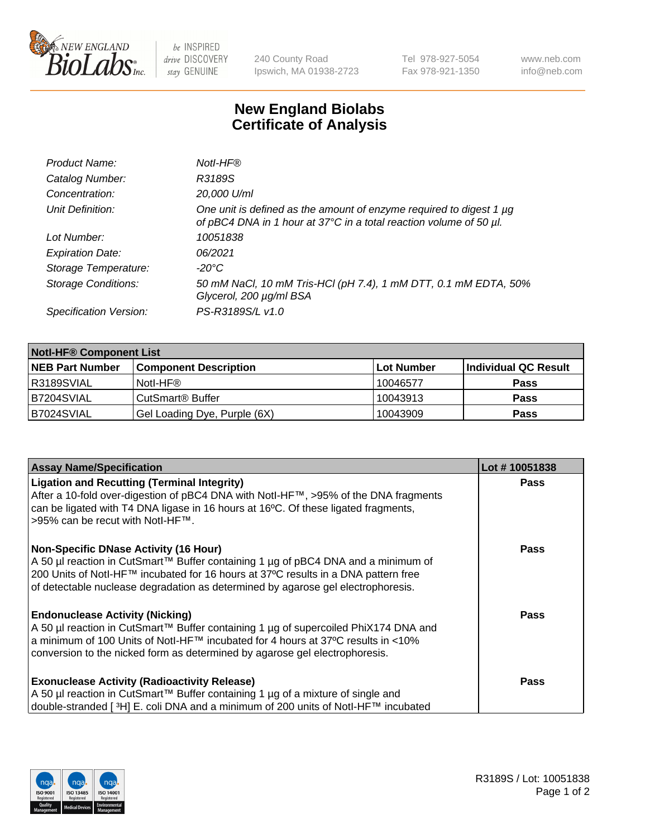

be INSPIRED drive DISCOVERY stay GENUINE

240 County Road Ipswich, MA 01938-2723 Tel 978-927-5054 Fax 978-921-1350 www.neb.com info@neb.com

## **New England Biolabs Certificate of Analysis**

| Product Name:              | Notl-HF®                                                                                                                                  |
|----------------------------|-------------------------------------------------------------------------------------------------------------------------------------------|
| Catalog Number:            | R3189S                                                                                                                                    |
| Concentration:             | 20,000 U/ml                                                                                                                               |
| Unit Definition:           | One unit is defined as the amount of enzyme required to digest 1 µg<br>of pBC4 DNA in 1 hour at 37°C in a total reaction volume of 50 µl. |
| Lot Number:                | 10051838                                                                                                                                  |
| <b>Expiration Date:</b>    | 06/2021                                                                                                                                   |
| Storage Temperature:       | -20°C                                                                                                                                     |
| <b>Storage Conditions:</b> | 50 mM NaCl, 10 mM Tris-HCl (pH 7.4), 1 mM DTT, 0.1 mM EDTA, 50%<br>Glycerol, 200 µg/ml BSA                                                |
| Specification Version:     | PS-R3189S/L v1.0                                                                                                                          |

| <b>Notl-HF® Component List</b> |                              |                   |                      |  |  |
|--------------------------------|------------------------------|-------------------|----------------------|--|--|
| <b>NEB Part Number</b>         | <b>Component Description</b> | <b>Lot Number</b> | Individual QC Result |  |  |
| R3189SVIAL                     | Notl-HF®                     | 10046577          | <b>Pass</b>          |  |  |
| B7204SVIAL                     | CutSmart <sup>®</sup> Buffer | 10043913          | <b>Pass</b>          |  |  |
| B7024SVIAL                     | Gel Loading Dye, Purple (6X) | 10043909          | <b>Pass</b>          |  |  |

| <b>Assay Name/Specification</b>                                                                                        | Lot #10051838 |
|------------------------------------------------------------------------------------------------------------------------|---------------|
| <b>Ligation and Recutting (Terminal Integrity)</b>                                                                     | <b>Pass</b>   |
| After a 10-fold over-digestion of pBC4 DNA with Notl-HF™, >95% of the DNA fragments                                    |               |
| can be ligated with T4 DNA ligase in 16 hours at 16°C. Of these ligated fragments,<br>>95% can be recut with Notl-HF™. |               |
|                                                                                                                        |               |
| <b>Non-Specific DNase Activity (16 Hour)</b>                                                                           | Pass          |
| A 50 µl reaction in CutSmart™ Buffer containing 1 µg of pBC4 DNA and a minimum of                                      |               |
| 200 Units of Notl-HF™ incubated for 16 hours at 37°C results in a DNA pattern free                                     |               |
| of detectable nuclease degradation as determined by agarose gel electrophoresis.                                       |               |
| <b>Endonuclease Activity (Nicking)</b>                                                                                 | <b>Pass</b>   |
| A 50 µl reaction in CutSmart™ Buffer containing 1 µg of supercoiled PhiX174 DNA and                                    |               |
| a minimum of 100 Units of Notl-HF™ incubated for 4 hours at 37°C results in <10%                                       |               |
| conversion to the nicked form as determined by agarose gel electrophoresis.                                            |               |
| <b>Exonuclease Activity (Radioactivity Release)</b>                                                                    | <b>Pass</b>   |
| A 50 µl reaction in CutSmart™ Buffer containing 1 µg of a mixture of single and                                        |               |
| double-stranded [3H] E. coli DNA and a minimum of 200 units of Notl-HF™ incubated                                      |               |